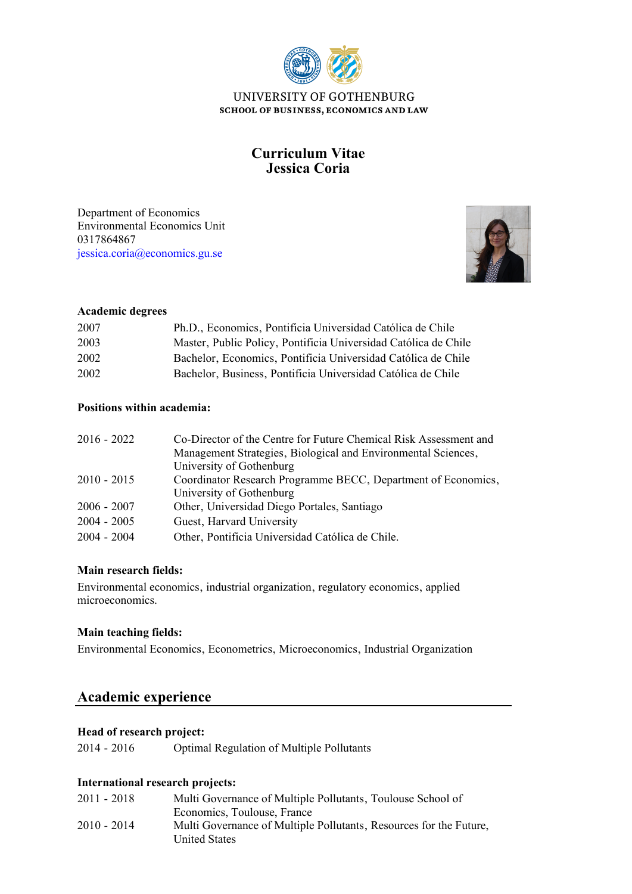

# **Jessica Coria Curriculum Vitae**

Environmental Economics Unit Department of Economics 0317864867 [jessica.coria@economics.gu.se](mailto:jessica.coria@economics.gu.se)



## **Academic degrees**

| 2007 | Ph.D., Economics, Pontificia Universidad Católica de Chile      |
|------|-----------------------------------------------------------------|
| 2003 | Master, Public Policy, Pontificia Universidad Católica de Chile |
| 2002 | Bachelor, Economics, Pontificia Universidad Católica de Chile   |
| 2002 | Bachelor, Business, Pontificia Universidad Católica de Chile    |

## **Positions within academia:**

| $2016 - 2022$ | Co-Director of the Centre for Future Chemical Risk Assessment and |
|---------------|-------------------------------------------------------------------|
|               | Management Strategies, Biological and Environmental Sciences,     |
|               | University of Gothenburg                                          |
| $2010 - 2015$ | Coordinator Research Programme BECC, Department of Economics,     |
|               | University of Gothenburg                                          |
| $2006 - 2007$ | Other, Universidad Diego Portales, Santiago                       |
| $2004 - 2005$ | Guest, Harvard University                                         |
| $2004 - 2004$ | Other, Pontificia Universidad Católica de Chile.                  |

## **Main research fields:**

Environmental economics, industrial organization, regulatory economics, applied microeconomics.

#### **Main teaching fields:**

Environmental Economics, Econometrics, Microeconomics, Industrial Organization

# **Academic experience**

### **Head of research project:**

2014 - 2016 Optimal Regulation of Multiple Pollutants

### **International research projects:**

| $2011 - 2018$ | Multi Governance of Multiple Pollutants, Toulouse School of        |
|---------------|--------------------------------------------------------------------|
|               | Economics, Toulouse, France                                        |
| $2010 - 2014$ | Multi Governance of Multiple Pollutants, Resources for the Future, |
|               | <b>United States</b>                                               |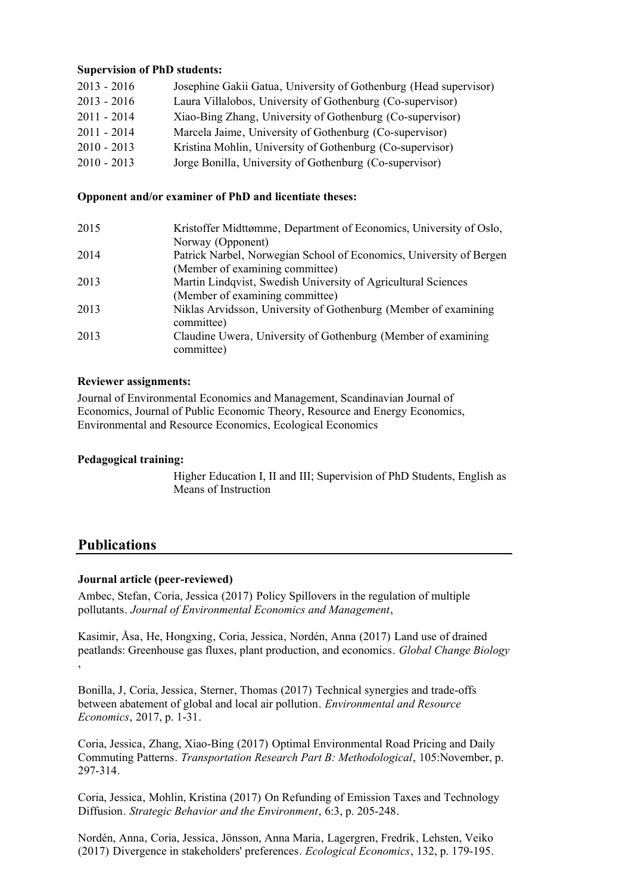### **Supervision of PhD students:**

| $2013 - 2016$ | Josephine Gakii Gatua, University of Gothenburg (Head supervisor) |
|---------------|-------------------------------------------------------------------|
| $2013 - 2016$ | Laura Villalobos, University of Gothenburg (Co-supervisor)        |
| $2011 - 2014$ | Xiao-Bing Zhang, University of Gothenburg (Co-supervisor)         |
| $2011 - 2014$ | Marcela Jaime, University of Gothenburg (Co-supervisor)           |
| $2010 - 2013$ | Kristina Mohlin, University of Gothenburg (Co-supervisor)         |
| $2010 - 2013$ | Jorge Bonilla, University of Gothenburg (Co-supervisor)           |

#### **Opponent and/or examiner of PhD and licentiate theses:**

| 2015 | Kristoffer Midttømme, Department of Economics, University of Oslo,  |
|------|---------------------------------------------------------------------|
|      | Norway (Opponent)                                                   |
| 2014 | Patrick Narbel, Norwegian School of Economics, University of Bergen |
|      | (Member of examining committee)                                     |
| 2013 | Martin Lindqvist, Swedish University of Agricultural Sciences       |
|      | (Member of examining committee)                                     |
| 2013 | Niklas Arvidsson, University of Gothenburg (Member of examining     |
|      | committee)                                                          |
| 2013 | Claudine Uwera, University of Gothenburg (Member of examining       |
|      | committee)                                                          |

#### **Reviewer assignments:**

Journal of Environmental Economics and Management, Scandinavian Journal of Economics, Journal of Public Economic Theory, Resource and Energy Economics, Environmental and Resource Economics, Ecological Economics

#### **Pedagogical training:**

Higher Education I, II and III; Supervision of PhD Students, English as Means of Instruction

# **Publications**

#### **Journal article (peer-reviewed)**

Ambec, Stefan, Coria, Jessica (2017) Policy Spillovers in the regulation of multiple pollutants. *Journal of Environmental Economics and Management*,

Kasimir, Åsa, He, Hongxing, Coria, Jessica, Nordén, Anna (2017) Land use of drained peatlands: Greenhouse gas fluxes, plant production, and economics. *Global Change Biology* ,

Bonilla, J, Coria, Jessica, Sterner, Thomas (2017) Technical synergies and trade-offs between abatement of global and local air pollution. *Environmental and Resource Economics*, 2017, p. 1-31.

Coria, Jessica, Zhang, Xiao-Bing (2017) Optimal Environmental Road Pricing and Daily Commuting Patterns. *Transportation Research Part B: Methodological*, 105:November, p. 297-314.

Coria, Jessica, Mohlin, Kristina (2017) On Refunding of Emission Taxes and Technology Diffusion. *Strategic Behavior and the Environment*, 6:3, p. 205-248.

Nordén, Anna, Coria, Jessica, Jönsson, Anna Maria, Lagergren, Fredrik, Lehsten, Veiko (2017) Divergence in stakeholders' preferences. *Ecological Economics*, 132, p. 179-195.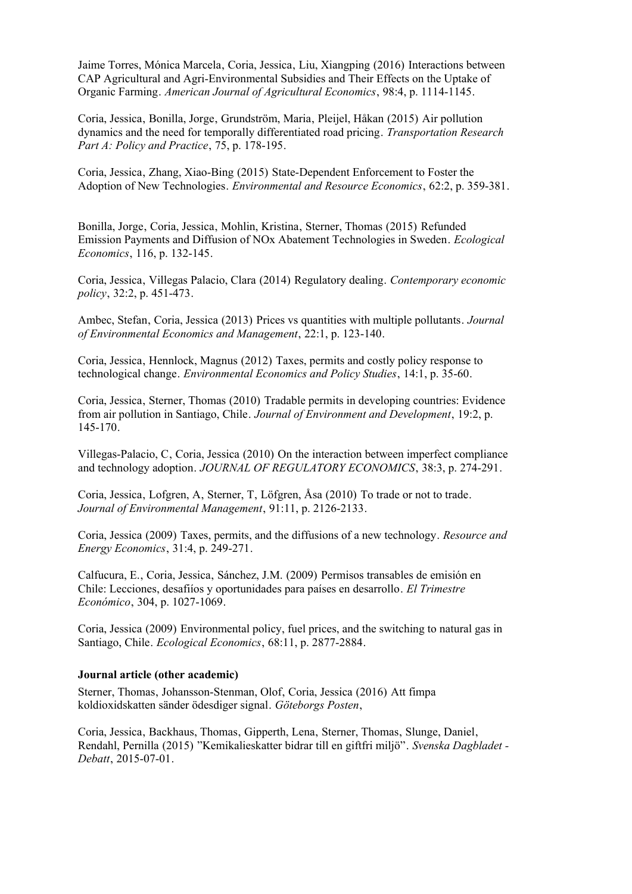Jaime Torres, Mónica Marcela, Coria, Jessica, Liu, Xiangping (2016) Interactions between CAP Agricultural and Agri-Environmental Subsidies and Their Effects on the Uptake of Organic Farming. *American Journal of Agricultural Economics*, 98:4, p. 1114-1145.

Coria, Jessica, Bonilla, Jorge, Grundström, Maria, Pleijel, Håkan (2015) Air pollution dynamics and the need for temporally differentiated road pricing. *Transportation Research Part A: Policy and Practice*, 75, p. 178-195.

Coria, Jessica, Zhang, Xiao-Bing (2015) State-Dependent Enforcement to Foster the Adoption of New Technologies. *Environmental and Resource Economics*, 62:2, p. 359-381.

Bonilla, Jorge, Coria, Jessica, Mohlin, Kristina, Sterner, Thomas (2015) Refunded Emission Payments and Diffusion of NOx Abatement Technologies in Sweden. *Ecological Economics*, 116, p. 132-145.

Coria, Jessica, Villegas Palacio, Clara (2014) Regulatory dealing. *Contemporary economic policy*, 32:2, p. 451-473.

Ambec, Stefan, Coria, Jessica (2013) Prices vs quantities with multiple pollutants. *Journal of Environmental Economics and Management*, 22:1, p. 123-140.

Coria, Jessica, Hennlock, Magnus (2012) Taxes, permits and costly policy response to technological change. *Environmental Economics and Policy Studies*, 14:1, p. 35-60.

Coria, Jessica, Sterner, Thomas (2010) Tradable permits in developing countries: Evidence from air pollution in Santiago, Chile. *Journal of Environment and Development*, 19:2, p. 145-170.

Villegas-Palacio, C, Coria, Jessica (2010) On the interaction between imperfect compliance and technology adoption. *JOURNAL OF REGULATORY ECONOMICS*, 38:3, p. 274-291.

Coria, Jessica, Lofgren, A. Sterner, T. Löfgren, Åsa (2010) To trade or not to trade. *Journal of Environmental Management*, 91:11, p. 2126-2133.

Coria, Jessica (2009) Taxes, permits, and the diffusions of a new technology. *Resource and Energy Economics*, 31:4, p. 249-271.

Calfucura, E., Coria, Jessica, Sánchez, J.M. (2009) Permisos transables de emisión en Chile: Lecciones, desafiíos y oportunidades para países en desarrollo. *El Trimestre Económico*, 304, p. 1027-1069.

Coria, Jessica (2009) Environmental policy, fuel prices, and the switching to natural gas in Santiago, Chile. *Ecological Economics*, 68:11, p. 2877-2884.

#### **Journal article (other academic)**

Sterner, Thomas, Johansson-Stenman, Olof, Coria, Jessica (2016) Att fimpa koldioxidskatten sänder ödesdiger signal. *Göteborgs Posten*,

Coria, Jessica, Backhaus, Thomas, Gipperth, Lena, Sterner, Thomas, Slunge, Daniel, Rendahl, Pernilla (2015) "Kemikalieskatter bidrar till en giftfri miljö". *Svenska Dagbladet - Debatt*, 2015-07-01.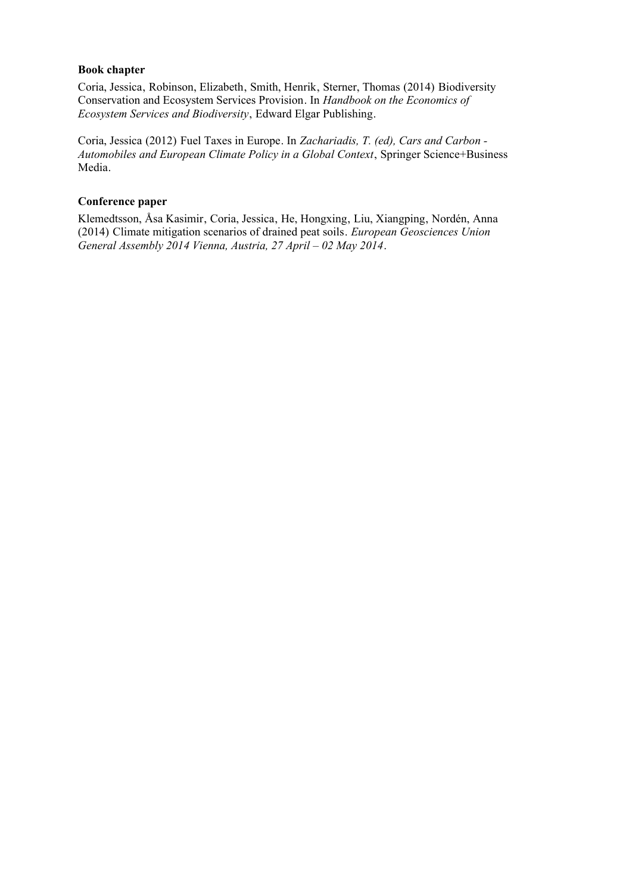#### **Book chapter**

Coria, Jessica, Robinson, Elizabeth, Smith, Henrik, Sterner, Thomas (2014) Biodiversity Conservation and Ecosystem Services Provision. In *Handbook on the Economics of Ecosystem Services and Biodiversity*, Edward Elgar Publishing.

Coria, Jessica (2012) Fuel Taxes in Europe. In *Zachariadis, T. (ed), Cars and Carbon - Automobiles and European Climate Policy in a Global Context*, Springer Science+Business Media.

#### **Conference paper**

Klemedtsson, Åsa Kasimir, Coria, Jessica, He, Hongxing, Liu, Xiangping, Nordén, Anna (2014) Climate mitigation scenarios of drained peat soils. *European Geosciences Union General Assembly 2014 Vienna, Austria, 27 April – 02 May 2014*.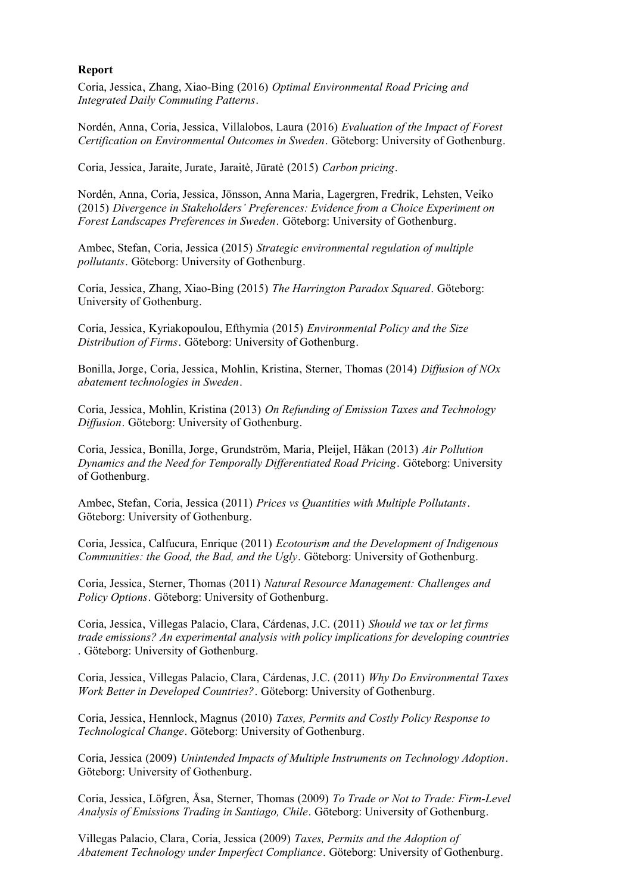#### **Report**

Coria, Jessica, Zhang, Xiao-Bing (2016) *Optimal Environmental Road Pricing and Integrated Daily Commuting Patterns*.

Nordén, Anna, Coria, Jessica, Villalobos, Laura (2016) *Evaluation of the Impact of Forest Certification on Environmental Outcomes in Sweden*. Göteborg: University of Gothenburg.

Coria, Jessica, Jaraite, Jurate, Jaraitė, Jūratė (2015) *Carbon pricing*.

Nordén, Anna, Coria, Jessica, Jönsson, Anna Maria, Lagergren, Fredrik, Lehsten, Veiko (2015) *Divergence in Stakeholders' Preferences: Evidence from a Choice Experiment on Forest Landscapes Preferences in Sweden*. Göteborg: University of Gothenburg.

Ambec, Stefan, Coria, Jessica (2015) *Strategic environmental regulation of multiple pollutants*. Göteborg: University of Gothenburg.

Coria, Jessica, Zhang, Xiao-Bing (2015) *The Harrington Paradox Squared*. Göteborg: University of Gothenburg.

Coria, Jessica, Kyriakopoulou, Efthymia (2015) *Environmental Policy and the Size Distribution of Firms*. Göteborg: University of Gothenburg.

Bonilla, Jorge, Coria, Jessica, Mohlin, Kristina, Sterner, Thomas (2014) *Diffusion of NOx abatement technologies in Sweden*.

Coria, Jessica, Mohlin, Kristina (2013) *On Refunding of Emission Taxes and Technology Diffusion*. Göteborg: University of Gothenburg.

Coria, Jessica, Bonilla, Jorge, Grundström, Maria, Pleijel, Håkan (2013) *Air Pollution Dynamics and the Need for Temporally Differentiated Road Pricing*. Göteborg: University of Gothenburg.

Ambec, Stefan, Coria, Jessica (2011) *Prices vs Quantities with Multiple Pollutants*. Göteborg: University of Gothenburg.

Coria, Jessica, Calfucura, Enrique (2011) *Ecotourism and the Development of Indigenous Communities: the Good, the Bad, and the Ugly*. Göteborg: University of Gothenburg.

Coria, Jessica, Sterner, Thomas (2011) *Natural Resource Management: Challenges and Policy Options*. Göteborg: University of Gothenburg.

Coria, Jessica, Villegas Palacio, Clara, Cárdenas, J.C. (2011) *Should we tax or let firms trade emissions? An experimental analysis with policy implications for developing countries* . Göteborg: University of Gothenburg.

Coria, Jessica, Villegas Palacio, Clara, Cárdenas, J.C. (2011) *Why Do Environmental Taxes Work Better in Developed Countries?*. Göteborg: University of Gothenburg.

Coria, Jessica, Hennlock, Magnus (2010) *Taxes, Permits and Costly Policy Response to Technological Change*. Göteborg: University of Gothenburg.

Coria, Jessica (2009) *Unintended Impacts of Multiple Instruments on Technology Adoption*. Göteborg: University of Gothenburg.

Coria, Jessica, Löfgren, Åsa, Sterner, Thomas (2009) *To Trade or Not to Trade: Firm-Level Analysis of Emissions Trading in Santiago, Chile*. Göteborg: University of Gothenburg.

Villegas Palacio, Clara, Coria, Jessica (2009) *Taxes, Permits and the Adoption of Abatement Technology under Imperfect Compliance*. Göteborg: University of Gothenburg.